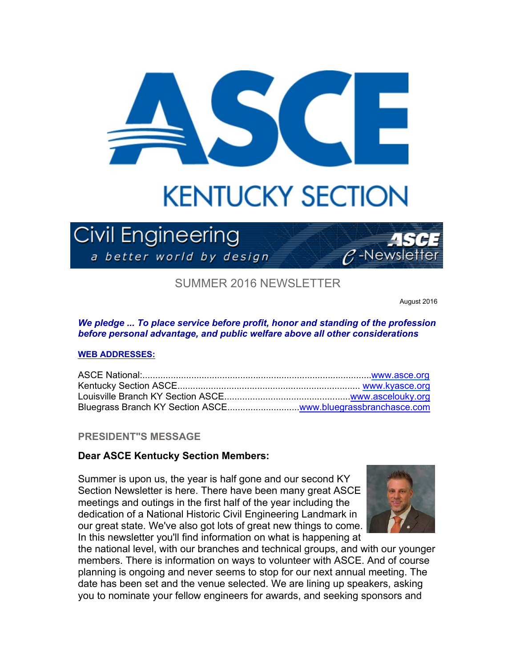

# **KENTUCKY SECTION**

# **Civil Engineering**

a better world by design



SUMMER 2016 NEWSLETTER

August 2016

*We pledge ... To place service before profit, honor and standing of the profession before personal advantage, and public welfare above all other considerations*

#### **WEB ADDRESSES:**

# **PRESIDENT"S MESSAGE**

# **Dear ASCE Kentucky Section Members:**

Summer is upon us, the year is half gone and our second KY Section Newsletter is here. There have been many great ASCE meetings and outings in the first half of the year including the dedication of a National Historic Civil Engineering Landmark in our great state. We've also got lots of great new things to come. In this newsletter you'll find information on what is happening at



the national level, with our branches and technical groups, and with our younger members. There is information on ways to volunteer with ASCE. And of course planning is ongoing and never seems to stop for our next annual meeting. The date has been set and the venue selected. We are lining up speakers, asking you to nominate your fellow engineers for awards, and seeking sponsors and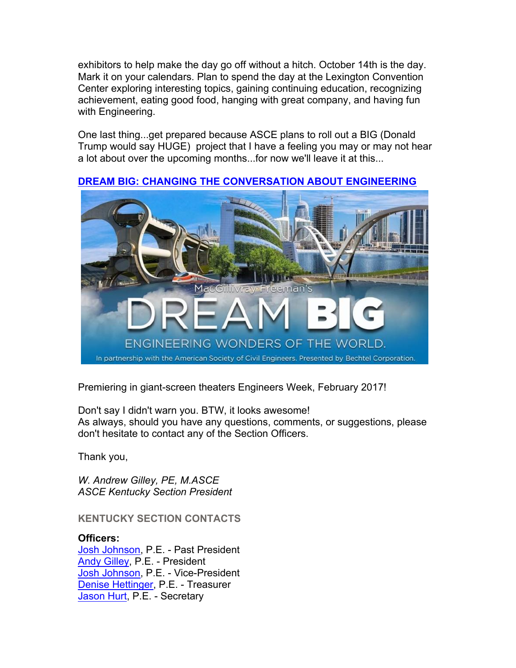exhibitors to help make the day go off without a hitch. October 14th is the day. Mark it on your calendars. Plan to spend the day at the Lexington Convention Center exploring interesting topics, gaining continuing education, recognizing achievement, eating good food, hanging with great company, and having fun with Engineering.

One last thing...get prepared because ASCE plans to roll out a BIG (Donald Trump would say HUGE) project that I have a feeling you may or may not hear a lot about over the upcoming months...for now we'll leave it at this...



## **DREAM BIG: CHANGING THE CONVERSATION ABOUT ENGINEERING**

Premiering in giant-screen theaters Engineers Week, February 2017!

Don't say I didn't warn you. BTW, it looks awesome! As always, should you have any questions, comments, or suggestions, please don't hesitate to contact any of the Section Officers.

Thank you,

*W. Andrew Gilley, PE, M.ASCE ASCE Kentucky Section President* 

**KENTUCKY SECTION CONTACTS**

**Officers:** Josh Johnson, P.E. - Past President Andy Gilley, P.E. - President Josh Johnson, P.E. - Vice-President Denise Hettinger, P.E. - Treasurer Jason Hurt, P.E. - Secretary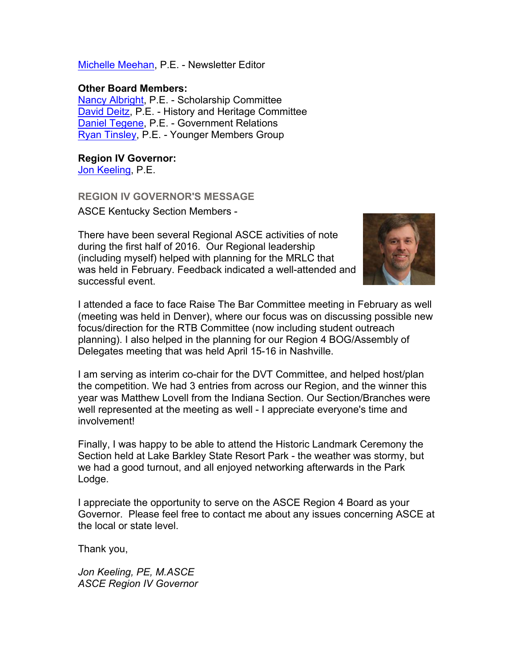Michelle Meehan, P.E. - Newsletter Editor

## **Other Board Members:**

Nancy Albright, P.E. - Scholarship Committee David Deitz, P.E. - History and Heritage Committee Daniel Tegene, P.E. - Government Relations Ryan Tinsley, P.E. - Younger Members Group

# **Region IV Governor:**

Jon Keeling, P.E.

## **REGION IV GOVERNOR'S MESSAGE**

ASCE Kentucky Section Members -

There have been several Regional ASCE activities of note during the first half of 2016. Our Regional leadership (including myself) helped with planning for the MRLC that was held in February. Feedback indicated a well-attended and successful event.



I attended a face to face Raise The Bar Committee meeting in February as well (meeting was held in Denver), where our focus was on discussing possible new focus/direction for the RTB Committee (now including student outreach planning). I also helped in the planning for our Region 4 BOG/Assembly of Delegates meeting that was held April 15-16 in Nashville.

I am serving as interim co-chair for the DVT Committee, and helped host/plan the competition. We had 3 entries from across our Region, and the winner this year was Matthew Lovell from the Indiana Section. Our Section/Branches were well represented at the meeting as well - I appreciate everyone's time and involvement!

Finally, I was happy to be able to attend the Historic Landmark Ceremony the Section held at Lake Barkley State Resort Park - the weather was stormy, but we had a good turnout, and all enjoyed networking afterwards in the Park Lodge.

I appreciate the opportunity to serve on the ASCE Region 4 Board as your Governor. Please feel free to contact me about any issues concerning ASCE at the local or state level.

Thank you,

*Jon Keeling, PE, M.ASCE ASCE Region IV Governor*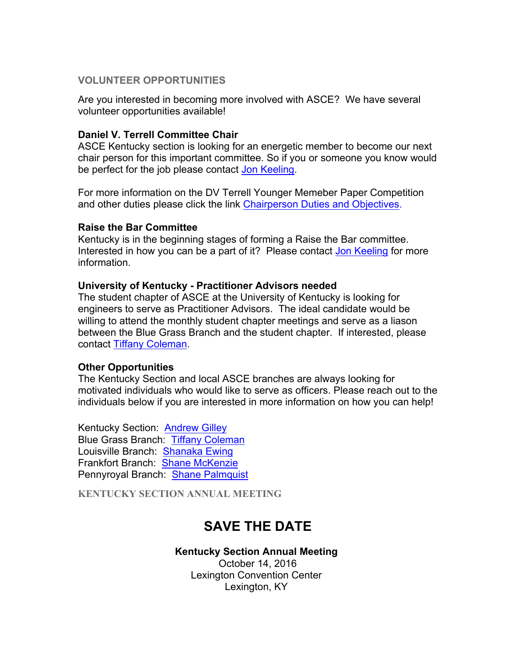## **VOLUNTEER OPPORTUNITIES**

Are you interested in becoming more involved with ASCE? We have several volunteer opportunities available!

## **Daniel V. Terrell Committee Chair**

ASCE Kentucky section is looking for an energetic member to become our next chair person for this important committee. So if you or someone you know would be perfect for the job please contact Jon Keeling.

For more information on the DV Terrell Younger Memeber Paper Competition and other duties please click the link Chairperson Duties and Objectives.

#### **Raise the Bar Committee**

Kentucky is in the beginning stages of forming a Raise the Bar committee. Interested in how you can be a part of it? Please contact Jon Keeling for more information.

#### **University of Kentucky - Practitioner Advisors needed**

The student chapter of ASCE at the University of Kentucky is looking for engineers to serve as Practitioner Advisors. The ideal candidate would be willing to attend the monthly student chapter meetings and serve as a liason between the Blue Grass Branch and the student chapter. If interested, please contact Tiffany Coleman.

#### **Other Opportunities**

The Kentucky Section and local ASCE branches are always looking for motivated individuals who would like to serve as officers. Please reach out to the individuals below if you are interested in more information on how you can help!

Kentucky Section: Andrew Gilley Blue Grass Branch: Tiffany Coleman Louisville Branch: Shanaka Ewing Frankfort Branch: Shane McKenzie Pennyroyal Branch: Shane Palmquist

**KENTUCKY SECTION ANNUAL MEETING**

# **SAVE THE DATE**

#### **Kentucky Section Annual Meeting**

October 14, 2016 Lexington Convention Center Lexington, KY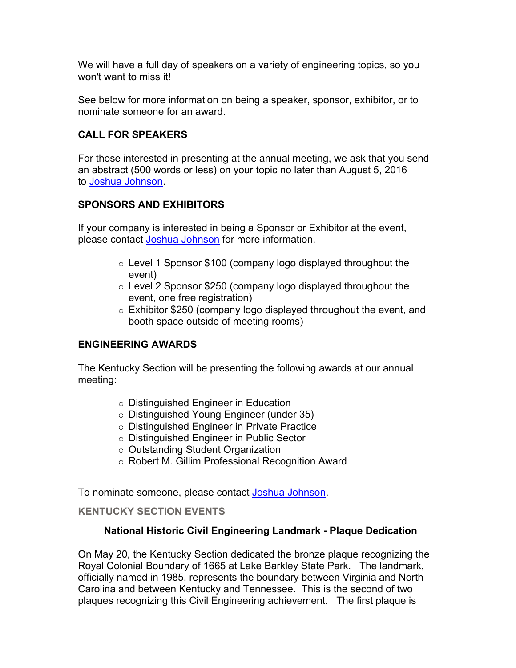We will have a full day of speakers on a variety of engineering topics, so you won't want to miss it!

See below for more information on being a speaker, sponsor, exhibitor, or to nominate someone for an award.

# **CALL FOR SPEAKERS**

For those interested in presenting at the annual meeting, we ask that you send an abstract (500 words or less) on your topic no later than August 5, 2016 to Joshua Johnson.

# **SPONSORS AND EXHIBITORS**

If your company is interested in being a Sponsor or Exhibitor at the event, please contact Joshua Johnson for more information.

- $\circ$  Level 1 Sponsor \$100 (company logo displayed throughout the event)
- $\circ$  Level 2 Sponsor \$250 (company logo displayed throughout the event, one free registration)
- o Exhibitor \$250 (company logo displayed throughout the event, and booth space outside of meeting rooms)

# **ENGINEERING AWARDS**

The Kentucky Section will be presenting the following awards at our annual meeting:

- $\circ$  Distinguished Engineer in Education
- $\circ$  Distinguished Young Engineer (under 35)
- o Distinguished Engineer in Private Practice
- $\circ$  Distinguished Engineer in Public Sector
- $\circ$  Outstanding Student Organization
- o Robert M. Gillim Professional Recognition Award

To nominate someone, please contact Joshua Johnson.

# **KENTUCKY SECTION EVENTS**

# **National Historic Civil Engineering Landmark - Plaque Dedication**

On May 20, the Kentucky Section dedicated the bronze plaque recognizing the Royal Colonial Boundary of 1665 at Lake Barkley State Park. The landmark, officially named in 1985, represents the boundary between Virginia and North Carolina and between Kentucky and Tennessee. This is the second of two plaques recognizing this Civil Engineering achievement. The first plaque is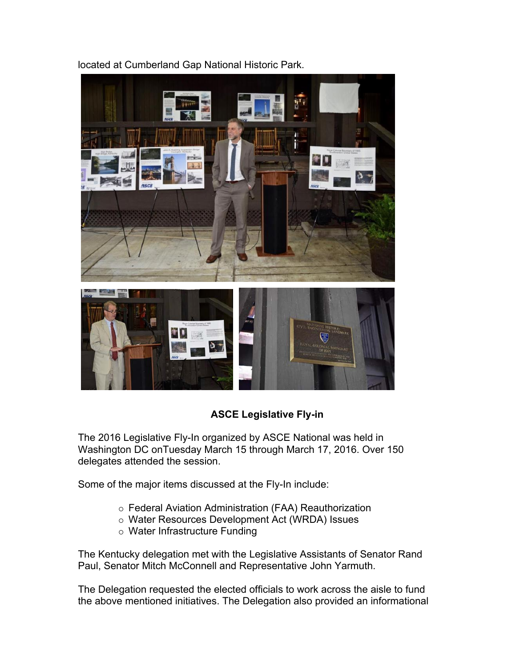

located at Cumberland Gap National Historic Park.

# **ASCE Legislative Fly-in**

The 2016 Legislative Fly-In organized by ASCE National was held in Washington DC onTuesday March 15 through March 17, 2016. Over 150 delegates attended the session.

Some of the major items discussed at the Fly-In include:

- o Federal Aviation Administration (FAA) Reauthorization
- o Water Resources Development Act (WRDA) Issues
- $\circ$  Water Infrastructure Funding

The Kentucky delegation met with the Legislative Assistants of Senator Rand Paul, Senator Mitch McConnell and Representative John Yarmuth.

The Delegation requested the elected officials to work across the aisle to fund the above mentioned initiatives. The Delegation also provided an informational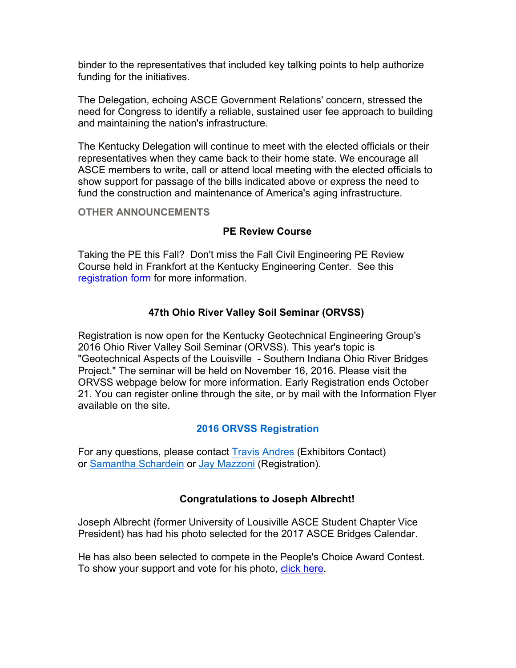binder to the representatives that included key talking points to help authorize funding for the initiatives.

The Delegation, echoing ASCE Government Relations' concern, stressed the need for Congress to identify a reliable, sustained user fee approach to building and maintaining the nation's infrastructure.

The Kentucky Delegation will continue to meet with the elected officials or their representatives when they came back to their home state. We encourage all ASCE members to write, call or attend local meeting with the elected officials to show support for passage of the bills indicated above or express the need to fund the construction and maintenance of America's aging infrastructure.

#### **OTHER ANNOUNCEMENTS**

# **PE Review Course**

Taking the PE this Fall? Don't miss the Fall Civil Engineering PE Review Course held in Frankfort at the Kentucky Engineering Center. See this registration form for more information.

# **47th Ohio River Valley Soil Seminar (ORVSS)**

Registration is now open for the Kentucky Geotechnical Engineering Group's 2016 Ohio River Valley Soil Seminar (ORVSS). This year's topic is "Geotechnical Aspects of the Louisville - Southern Indiana Ohio River Bridges Project." The seminar will be held on November 16, 2016. Please visit the ORVSS webpage below for more information. Early Registration ends October 21. You can register online through the site, or by mail with the Information Flyer available on the site.

# **2016 ORVSS Registration**

For any questions, please contact Travis Andres (Exhibitors Contact) or Samantha Schardein or Jay Mazzoni (Registration).

# **Congratulations to Joseph Albrecht!**

Joseph Albrecht (former University of Lousiville ASCE Student Chapter Vice President) has had his photo selected for the 2017 ASCE Bridges Calendar.

He has also been selected to compete in the People's Choice Award Contest. To show your support and vote for his photo, click here.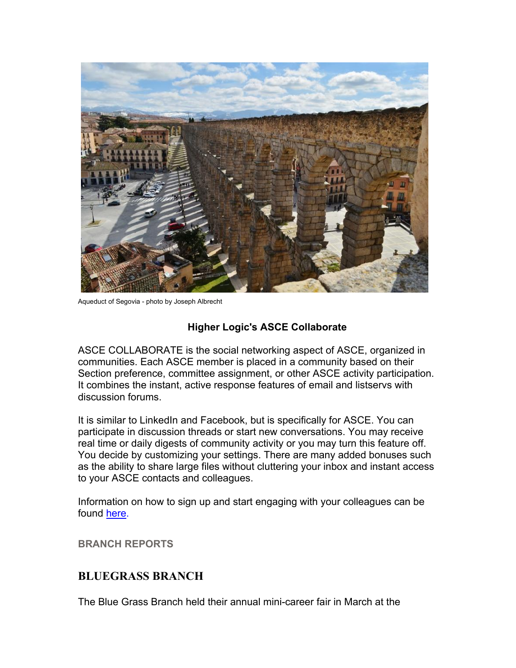

Aqueduct of Segovia - photo by Joseph Albrecht

# **Higher Logic's ASCE Collaborate**

ASCE COLLABORATE is the social networking aspect of ASCE, organized in communities. Each ASCE member is placed in a community based on their Section preference, committee assignment, or other ASCE activity participation. It combines the instant, active response features of email and listservs with discussion forums.

It is similar to LinkedIn and Facebook, but is specifically for ASCE. You can participate in discussion threads or start new conversations. You may receive real time or daily digests of community activity or you may turn this feature off. You decide by customizing your settings. There are many added bonuses such as the ability to share large files without cluttering your inbox and instant access to your ASCE contacts and colleagues.

Information on how to sign up and start engaging with your colleagues can be found here.

**BRANCH REPORTS**

# **BLUEGRASS BRANCH**

The Blue Grass Branch held their annual mini-career fair in March at the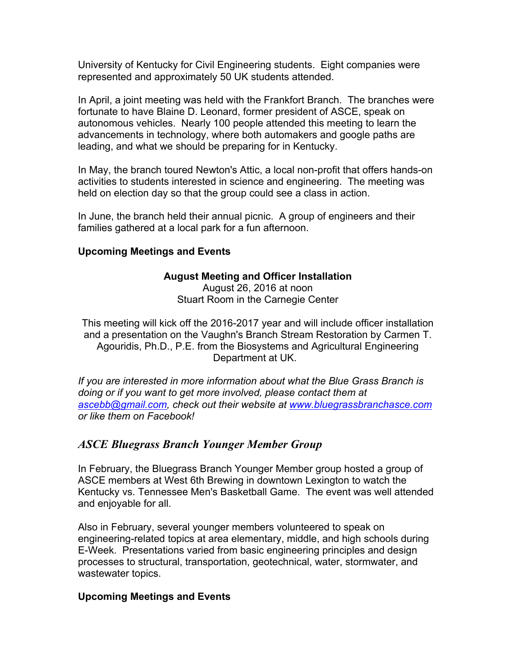University of Kentucky for Civil Engineering students. Eight companies were represented and approximately 50 UK students attended.

In April, a joint meeting was held with the Frankfort Branch. The branches were fortunate to have Blaine D. Leonard, former president of ASCE, speak on autonomous vehicles. Nearly 100 people attended this meeting to learn the advancements in technology, where both automakers and google paths are leading, and what we should be preparing for in Kentucky.

In May, the branch toured Newton's Attic, a local non-profit that offers hands-on activities to students interested in science and engineering. The meeting was held on election day so that the group could see a class in action.

In June, the branch held their annual picnic. A group of engineers and their families gathered at a local park for a fun afternoon.

## **Upcoming Meetings and Events**

# **August Meeting and Officer Installation**

August 26, 2016 at noon Stuart Room in the Carnegie Center

This meeting will kick off the 2016-2017 year and will include officer installation and a presentation on the Vaughn's Branch Stream Restoration by Carmen T. Agouridis, Ph.D., P.E. from the Biosystems and Agricultural Engineering Department at UK.

*If you are interested in more information about what the Blue Grass Branch is doing or if you want to get more involved, please contact them at ascebb@gmail.com, check out their website at www.bluegrassbranchasce.com or like them on Facebook!*

# *ASCE Bluegrass Branch Younger Member Group*

In February, the Bluegrass Branch Younger Member group hosted a group of ASCE members at West 6th Brewing in downtown Lexington to watch the Kentucky vs. Tennessee Men's Basketball Game. The event was well attended and enjoyable for all.

Also in February, several younger members volunteered to speak on engineering-related topics at area elementary, middle, and high schools during E-Week. Presentations varied from basic engineering principles and design processes to structural, transportation, geotechnical, water, stormwater, and wastewater topics.

# **Upcoming Meetings and Events**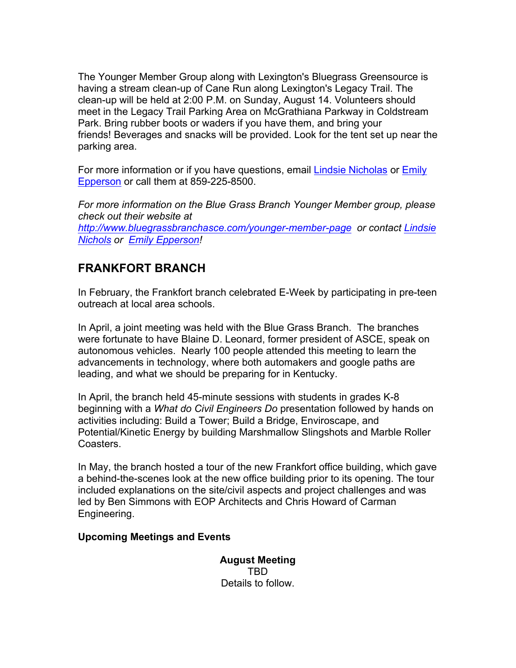The Younger Member Group along with Lexington's Bluegrass Greensource is having a stream clean-up of Cane Run along Lexington's Legacy Trail. The clean-up will be held at 2:00 P.M. on Sunday, August 14. Volunteers should meet in the Legacy Trail Parking Area on McGrathiana Parkway in Coldstream Park. Bring rubber boots or waders if you have them, and bring your friends! Beverages and snacks will be provided. Look for the tent set up near the parking area.

For more information or if you have questions, email **Lindsie Nicholas or Emily** Epperson or call them at 859-225-8500.

*For more information on the Blue Grass Branch Younger Member group, please check out their website at http://www.bluegrassbranchasce.com/younger-member-page or contact Lindsie Nichols or Emily Epperson!*

# **FRANKFORT BRANCH**

In February, the Frankfort branch celebrated E-Week by participating in pre-teen outreach at local area schools.

In April, a joint meeting was held with the Blue Grass Branch. The branches were fortunate to have Blaine D. Leonard, former president of ASCE, speak on autonomous vehicles. Nearly 100 people attended this meeting to learn the advancements in technology, where both automakers and google paths are leading, and what we should be preparing for in Kentucky.

In April, the branch held 45-minute sessions with students in grades K-8 beginning with a *What do Civil Engineers Do* presentation followed by hands on activities including: Build a Tower; Build a Bridge, Enviroscape, and Potential/Kinetic Energy by building Marshmallow Slingshots and Marble Roller Coasters.

In May, the branch hosted a tour of the new Frankfort office building, which gave a behind-the-scenes look at the new office building prior to its opening. The tour included explanations on the site/civil aspects and project challenges and was led by Ben Simmons with EOP Architects and Chris Howard of Carman Engineering.

# **Upcoming Meetings and Events**

**August Meeting** TBD Details to follow.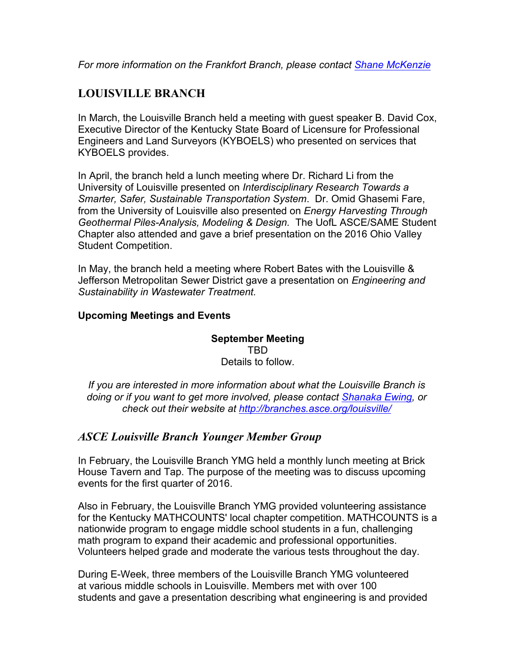*For more information on the Frankfort Branch, please contact Shane McKenzie*

# **LOUISVILLE BRANCH**

In March, the Louisville Branch held a meeting with guest speaker B. David Cox, Executive Director of the Kentucky State Board of Licensure for Professional Engineers and Land Surveyors (KYBOELS) who presented on services that KYBOELS provides.

In April, the branch held a lunch meeting where Dr. Richard Li from the University of Louisville presented on *Interdisciplinary Research Towards a Smarter, Safer, Sustainable Transportation System*. Dr. Omid Ghasemi Fare, from the University of Louisville also presented on *Energy Harvesting Through Geothermal Piles-Analysis, Modeling & Design.* The UofL ASCE/SAME Student Chapter also attended and gave a brief presentation on the 2016 Ohio Valley Student Competition.

In May, the branch held a meeting where Robert Bates with the Louisville & Jefferson Metropolitan Sewer District gave a presentation on *Engineering and Sustainability in Wastewater Treatment.* 

# **Upcoming Meetings and Events**

**September Meeting** TBD Details to follow.

*If you are interested in more information about what the Louisville Branch is doing or if you want to get more involved, please contact Shanaka Ewing, or check out their website at http://branches.asce.org/louisville/*

# *ASCE Louisville Branch Younger Member Group*

In February, the Louisville Branch YMG held a monthly lunch meeting at Brick House Tavern and Tap. The purpose of the meeting was to discuss upcoming events for the first quarter of 2016.

Also in February, the Louisville Branch YMG provided volunteering assistance for the Kentucky MATHCOUNTS' local chapter competition. MATHCOUNTS is a nationwide program to engage middle school students in a fun, challenging math program to expand their academic and professional opportunities. Volunteers helped grade and moderate the various tests throughout the day.

During E-Week, three members of the Louisville Branch YMG volunteered at various middle schools in Louisville. Members met with over 100 students and gave a presentation describing what engineering is and provided